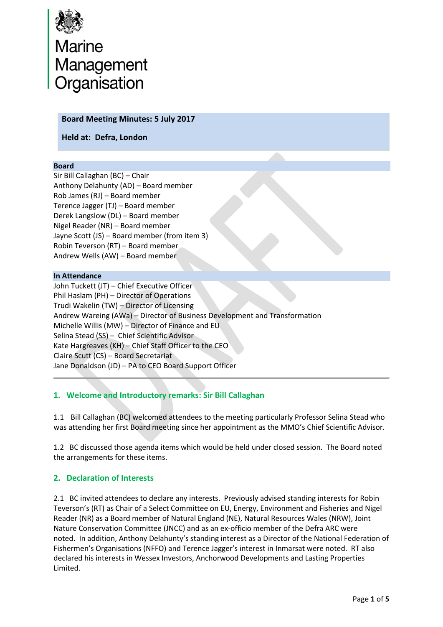

# Marine<br>Management<br>Organisation

#### **Board Meeting Minutes: 5 July 2017**

**Held at: Defra, London**

#### **Board**

Sir Bill Callaghan (BC) – Chair Anthony Delahunty (AD) – Board member Rob James (RJ) – Board member Terence Jagger (TJ) – Board member Derek Langslow (DL) – Board member Nigel Reader (NR) – Board member Jayne Scott (JS) – Board member (from item 3) Robin Teverson (RT) – Board member Andrew Wells (AW) – Board member

#### **In Attendance**

John Tuckett (JT) – Chief Executive Officer Phil Haslam (PH) – Director of Operations Trudi Wakelin (TW) – Director of Licensing Andrew Wareing (AWa) – Director of Business Development and Transformation Michelle Willis (MW) – Director of Finance and EU Selina Stead (SS) – Chief Scientific Advisor Kate Hargreaves (KH) – Chief Staff Officer to the CEO Claire Scutt (CS) – Board Secretariat Jane Donaldson (JD) – PA to CEO Board Support Officer

# **1. Welcome and Introductory remarks: Sir Bill Callaghan**

1.1 Bill Callaghan (BC) welcomed attendees to the meeting particularly Professor Selina Stead who was attending her first Board meeting since her appointment as the MMO's Chief Scientific Advisor.

1.2 BC discussed those agenda items which would be held under closed session. The Board noted the arrangements for these items.

### **2. Declaration of Interests**

2.1 BC invited attendees to declare any interests. Previously advised standing interests for Robin Teverson's (RT) as Chair of a Select Committee on EU, Energy, Environment and Fisheries and Nigel Reader (NR) as a Board member of Natural England (NE), Natural Resources Wales (NRW), Joint Nature Conservation Committee (JNCC) and as an ex-officio member of the Defra ARC were noted. In addition, Anthony Delahunty's standing interest as a Director of the National Federation of Fishermen's Organisations (NFFO) and Terence Jagger's interest in Inmarsat were noted. RT also declared his interests in Wessex Investors, Anchorwood Developments and Lasting Properties Limited.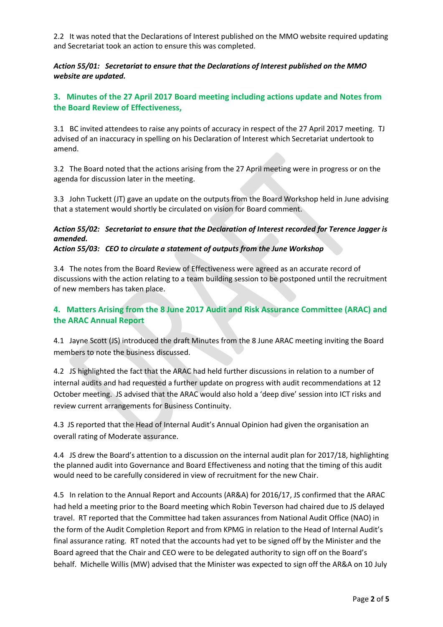2.2 It was noted that the Declarations of Interest published on the MMO website required updating and Secretariat took an action to ensure this was completed.

*Action 55/01: Secretariat to ensure that the Declarations of Interest published on the MMO website are updated.*

## **3. Minutes of the 27 April 2017 Board meeting including actions update and Notes from the Board Review of Effectiveness,**

3.1 BC invited attendees to raise any points of accuracy in respect of the 27 April 2017 meeting. TJ advised of an inaccuracy in spelling on his Declaration of Interest which Secretariat undertook to amend.

3.2 The Board noted that the actions arising from the 27 April meeting were in progress or on the agenda for discussion later in the meeting.

3.3 John Tuckett (JT) gave an update on the outputs from the Board Workshop held in June advising that a statement would shortly be circulated on vision for Board comment.

#### *Action 55/02: Secretariat to ensure that the Declaration of Interest recorded for Terence Jagger is amended.*

*Action 55/03: CEO to circulate a statement of outputs from the June Workshop*

3.4 The notes from the Board Review of Effectiveness were agreed as an accurate record of discussions with the action relating to a team building session to be postponed until the recruitment of new members has taken place.

# **4. Matters Arising from the 8 June 2017 Audit and Risk Assurance Committee (ARAC) and the ARAC Annual Report**

4.1 Jayne Scott (JS) introduced the draft Minutes from the 8 June ARAC meeting inviting the Board members to note the business discussed.

4.2 JS highlighted the fact that the ARAC had held further discussions in relation to a number of internal audits and had requested a further update on progress with audit recommendations at 12 October meeting. JS advised that the ARAC would also hold a 'deep dive' session into ICT risks and review current arrangements for Business Continuity.

4.3 JS reported that the Head of Internal Audit's Annual Opinion had given the organisation an overall rating of Moderate assurance.

4.4 JS drew the Board's attention to a discussion on the internal audit plan for 2017/18, highlighting the planned audit into Governance and Board Effectiveness and noting that the timing of this audit would need to be carefully considered in view of recruitment for the new Chair.

4.5 In relation to the Annual Report and Accounts (AR&A) for 2016/17, JS confirmed that the ARAC had held a meeting prior to the Board meeting which Robin Teverson had chaired due to JS delayed travel. RT reported that the Committee had taken assurances from National Audit Office (NAO) in the form of the Audit Completion Report and from KPMG in relation to the Head of Internal Audit's final assurance rating. RT noted that the accounts had yet to be signed off by the Minister and the Board agreed that the Chair and CEO were to be delegated authority to sign off on the Board's behalf. Michelle Willis (MW) advised that the Minister was expected to sign off the AR&A on 10 July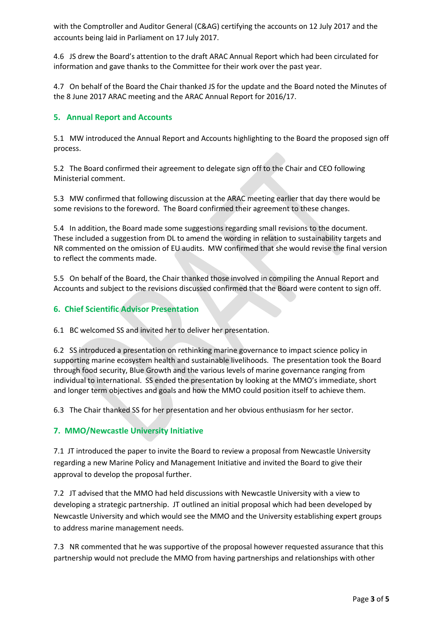with the Comptroller and Auditor General (C&AG) certifying the accounts on 12 July 2017 and the accounts being laid in Parliament on 17 July 2017.

4.6 JS drew the Board's attention to the draft ARAC Annual Report which had been circulated for information and gave thanks to the Committee for their work over the past year.

4.7 On behalf of the Board the Chair thanked JS for the update and the Board noted the Minutes of the 8 June 2017 ARAC meeting and the ARAC Annual Report for 2016/17.

## **5. Annual Report and Accounts**

5.1 MW introduced the Annual Report and Accounts highlighting to the Board the proposed sign off process.

5.2 The Board confirmed their agreement to delegate sign off to the Chair and CEO following Ministerial comment.

5.3 MW confirmed that following discussion at the ARAC meeting earlier that day there would be some revisions to the foreword. The Board confirmed their agreement to these changes.

5.4 In addition, the Board made some suggestions regarding small revisions to the document. These included a suggestion from DL to amend the wording in relation to sustainability targets and NR commented on the omission of EU audits. MW confirmed that she would revise the final version to reflect the comments made.

5.5 On behalf of the Board, the Chair thanked those involved in compiling the Annual Report and Accounts and subject to the revisions discussed confirmed that the Board were content to sign off.

### **6. Chief Scientific Advisor Presentation**

6.1 BC welcomed SS and invited her to deliver her presentation.

6.2 SS introduced a presentation on rethinking marine governance to impact science policy in supporting marine ecosystem health and sustainable livelihoods. The presentation took the Board through food security, Blue Growth and the various levels of marine governance ranging from individual to international. SS ended the presentation by looking at the MMO's immediate, short and longer term objectives and goals and how the MMO could position itself to achieve them.

6.3 The Chair thanked SS for her presentation and her obvious enthusiasm for her sector.

### **7. MMO/Newcastle University Initiative**

7.1 JT introduced the paper to invite the Board to review a proposal from Newcastle University regarding a new Marine Policy and Management Initiative and invited the Board to give their approval to develop the proposal further.

7.2 JT advised that the MMO had held discussions with Newcastle University with a view to developing a strategic partnership. JT outlined an initial proposal which had been developed by Newcastle University and which would see the MMO and the University establishing expert groups to address marine management needs.

7.3 NR commented that he was supportive of the proposal however requested assurance that this partnership would not preclude the MMO from having partnerships and relationships with other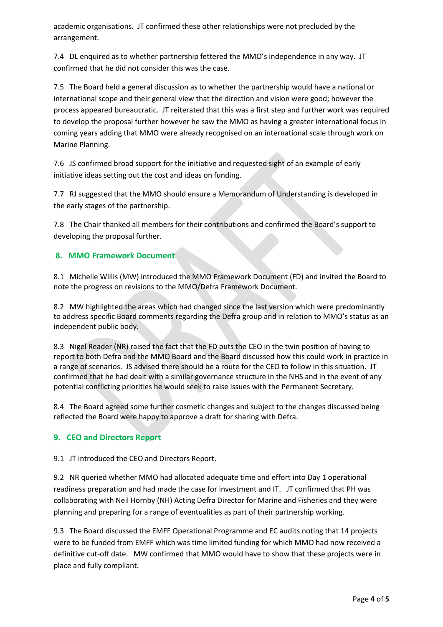academic organisations. JT confirmed these other relationships were not precluded by the arrangement.

7.4 DL enquired as to whether partnership fettered the MMO's independence in any way. JT confirmed that he did not consider this was the case.

7.5 The Board held a general discussion as to whether the partnership would have a national or international scope and their general view that the direction and vision were good; however the process appeared bureaucratic. JT reiterated that this was a first step and further work was required to develop the proposal further however he saw the MMO as having a greater international focus in coming years adding that MMO were already recognised on an international scale through work on Marine Planning.

7.6 JS confirmed broad support for the initiative and requested sight of an example of early initiative ideas setting out the cost and ideas on funding.

7.7 RJ suggested that the MMO should ensure a Memorandum of Understanding is developed in the early stages of the partnership.

7.8 The Chair thanked all members for their contributions and confirmed the Board's support to developing the proposal further.

# **8. MMO Framework Document**

8.1 Michelle Willis (MW) introduced the MMO Framework Document (FD) and invited the Board to note the progress on revisions to the MMO/Defra Framework Document.

8.2 MW highlighted the areas which had changed since the last version which were predominantly to address specific Board comments regarding the Defra group and in relation to MMO's status as an independent public body.

8.3 Nigel Reader (NR) raised the fact that the FD puts the CEO in the twin position of having to report to both Defra and the MMO Board and the Board discussed how this could work in practice in a range of scenarios. JS advised there should be a route for the CEO to follow in this situation. JT confirmed that he had dealt with a similar governance structure in the NHS and in the event of any potential conflicting priorities he would seek to raise issues with the Permanent Secretary.

8.4 The Board agreed some further cosmetic changes and subject to the changes discussed being reflected the Board were happy to approve a draft for sharing with Defra.

# **9. CEO and Directors Report**

9.1 JT introduced the CEO and Directors Report.

9.2 NR queried whether MMO had allocated adequate time and effort into Day 1 operational readiness preparation and had made the case for investment and IT. JT confirmed that PH was collaborating with Neil Hornby (NH) Acting Defra Director for Marine and Fisheries and they were planning and preparing for a range of eventualities as part of their partnership working.

9.3 The Board discussed the EMFF Operational Programme and EC audits noting that 14 projects were to be funded from EMFF which was time limited funding for which MMO had now received a definitive cut-off date. MW confirmed that MMO would have to show that these projects were in place and fully compliant.